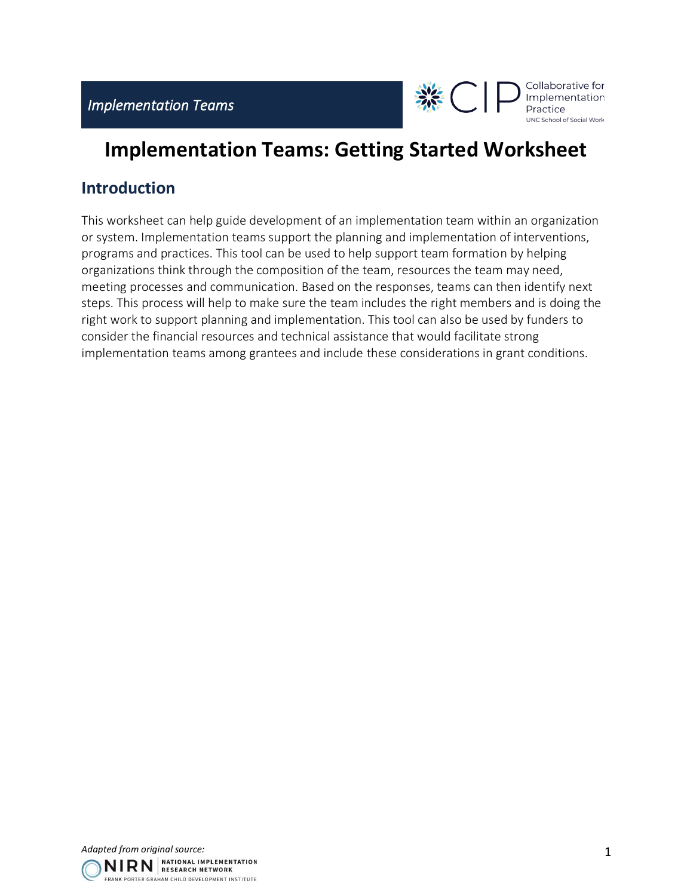

## **Implementation Teams: Getting Started Worksheet**

## **Introduction**

This worksheet can help guide development of an implementation team within an organization or system. Implementation teams support the planning and implementation of interventions, programs and practices. This tool can be used to help support team formation by helping organizations think through the composition of the team, resources the team may need, meeting processes and communication. Based on the responses, teams can then identify next steps. This process will help to make sure the team includes the right members and is doing the right work to support planning and implementation. This tool can also be used by funders to consider the financial resources and technical assistance that would facilitate strong implementation teams among grantees and include these considerations in grant conditions.

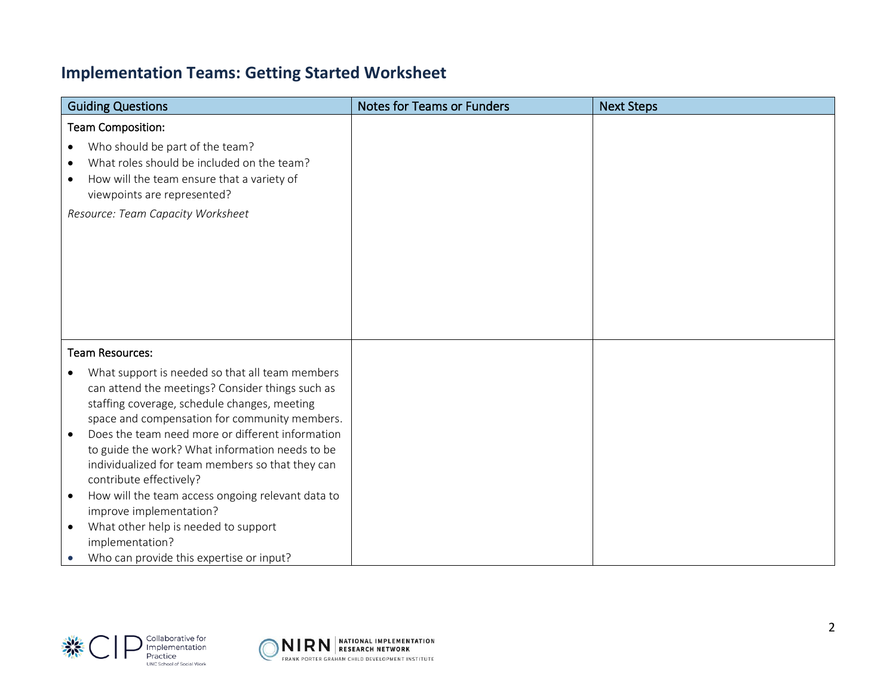## **Implementation Teams: Getting Started Worksheet**

| <b>Guiding Questions</b>                                                                                                                                                                                                                                                           | <b>Notes for Teams or Funders</b> | <b>Next Steps</b> |
|------------------------------------------------------------------------------------------------------------------------------------------------------------------------------------------------------------------------------------------------------------------------------------|-----------------------------------|-------------------|
| <b>Team Composition:</b>                                                                                                                                                                                                                                                           |                                   |                   |
| Who should be part of the team?<br>$\bullet$<br>What roles should be included on the team?<br>$\bullet$<br>How will the team ensure that a variety of<br>$\bullet$<br>viewpoints are represented?                                                                                  |                                   |                   |
| Resource: Team Capacity Worksheet                                                                                                                                                                                                                                                  |                                   |                   |
| <b>Team Resources:</b>                                                                                                                                                                                                                                                             |                                   |                   |
| What support is needed so that all team members<br>$\bullet$<br>can attend the meetings? Consider things such as<br>staffing coverage, schedule changes, meeting<br>space and compensation for community members.<br>Does the team need more or different information<br>$\bullet$ |                                   |                   |
| to guide the work? What information needs to be<br>individualized for team members so that they can<br>contribute effectively?                                                                                                                                                     |                                   |                   |
| How will the team access ongoing relevant data to<br>$\bullet$<br>improve implementation?                                                                                                                                                                                          |                                   |                   |
| What other help is needed to support<br>$\bullet$<br>implementation?                                                                                                                                                                                                               |                                   |                   |
| Who can provide this expertise or input?                                                                                                                                                                                                                                           |                                   |                   |